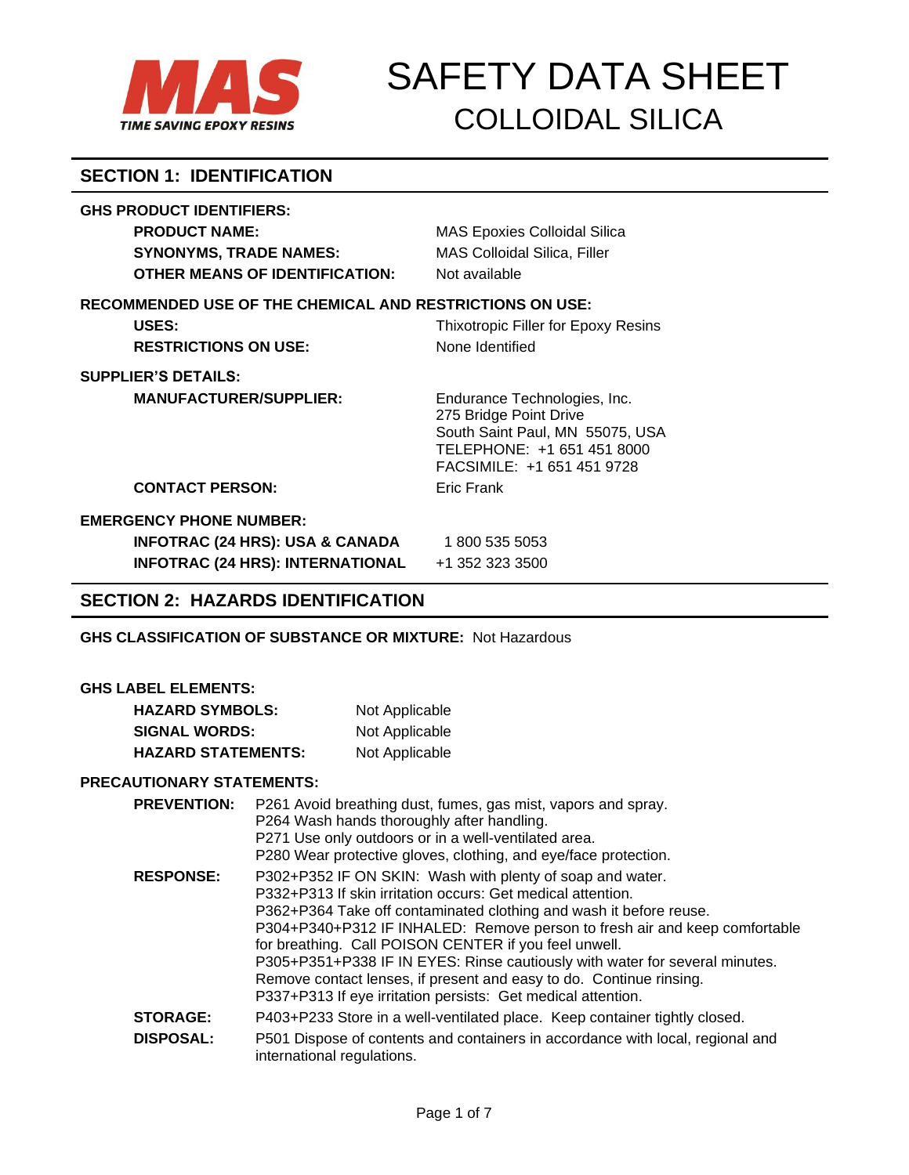

# **SECTION 1: IDENTIFICATION**

## **GHS PRODUCT IDENTIFIERS:**

| <b>PRODUCT NAME:</b>                                            | <b>MAS Epoxies Colloidal Silica</b>                                                                                                                   |
|-----------------------------------------------------------------|-------------------------------------------------------------------------------------------------------------------------------------------------------|
| <b>SYNONYMS, TRADE NAMES:</b>                                   | MAS Colloidal Silica, Filler                                                                                                                          |
| <b>OTHER MEANS OF IDENTIFICATION:</b>                           | Not available                                                                                                                                         |
| <b>RECOMMENDED USE OF THE CHEMICAL AND RESTRICTIONS ON USE:</b> |                                                                                                                                                       |
| USES:                                                           | Thixotropic Filler for Epoxy Resins                                                                                                                   |
| <b>RESTRICTIONS ON USE:</b>                                     | None Identified                                                                                                                                       |
| <b>SUPPLIER'S DETAILS:</b>                                      |                                                                                                                                                       |
| <b>MANUFACTURER/SUPPLIER:</b>                                   | Endurance Technologies, Inc.<br>275 Bridge Point Drive<br>South Saint Paul, MN 55075, USA<br>TELEPHONE: +1 651 451 8000<br>FACSIMILE: +1 651 451 9728 |
| <b>CONTACT PERSON:</b>                                          | Eric Frank                                                                                                                                            |
| <b>EMERGENCY PHONE NUMBER:</b>                                  |                                                                                                                                                       |
| <b>INFOTRAC (24 HRS): USA &amp; CANADA</b>                      | 1 800 535 5053                                                                                                                                        |
| <b>INFOTRAC (24 HRS): INTERNATIONAL</b>                         | +1 352 323 3500                                                                                                                                       |

## **SECTION 2: HAZARDS IDENTIFICATION**

**GHS CLASSIFICATION OF SUBSTANCE OR MIXTURE:** Not Hazardous

#### **GHS LABEL ELEMENTS:**

| <b>HAZARD SYMBOLS:</b>    | Not Applicable |
|---------------------------|----------------|
| <b>SIGNAL WORDS:</b>      | Not Applicable |
| <b>HAZARD STATEMENTS:</b> | Not Applicable |

### **PRECAUTIONARY STATEMENTS:**

| <b>PREVENTION:</b> | P261 Avoid breathing dust, fumes, gas mist, vapors and spray.<br>P264 Wash hands thoroughly after handling.<br>P271 Use only outdoors or in a well-ventilated area.<br>P280 Wear protective gloves, clothing, and eye/face protection.                                                                                                                                                                                                                                                                                                                      |
|--------------------|-------------------------------------------------------------------------------------------------------------------------------------------------------------------------------------------------------------------------------------------------------------------------------------------------------------------------------------------------------------------------------------------------------------------------------------------------------------------------------------------------------------------------------------------------------------|
| <b>RESPONSE:</b>   | P302+P352 IF ON SKIN: Wash with plenty of soap and water.<br>P332+P313 If skin irritation occurs: Get medical attention.<br>P362+P364 Take off contaminated clothing and wash it before reuse.<br>P304+P340+P312 IF INHALED: Remove person to fresh air and keep comfortable<br>for breathing. Call POISON CENTER if you feel unwell.<br>P305+P351+P338 IF IN EYES: Rinse cautiously with water for several minutes.<br>Remove contact lenses, if present and easy to do. Continue rinsing.<br>P337+P313 If eye irritation persists: Get medical attention. |
| <b>STORAGE:</b>    | P403+P233 Store in a well-ventilated place. Keep container tightly closed.                                                                                                                                                                                                                                                                                                                                                                                                                                                                                  |
| <b>DISPOSAL:</b>   | P501 Dispose of contents and containers in accordance with local, regional and<br>international regulations.                                                                                                                                                                                                                                                                                                                                                                                                                                                |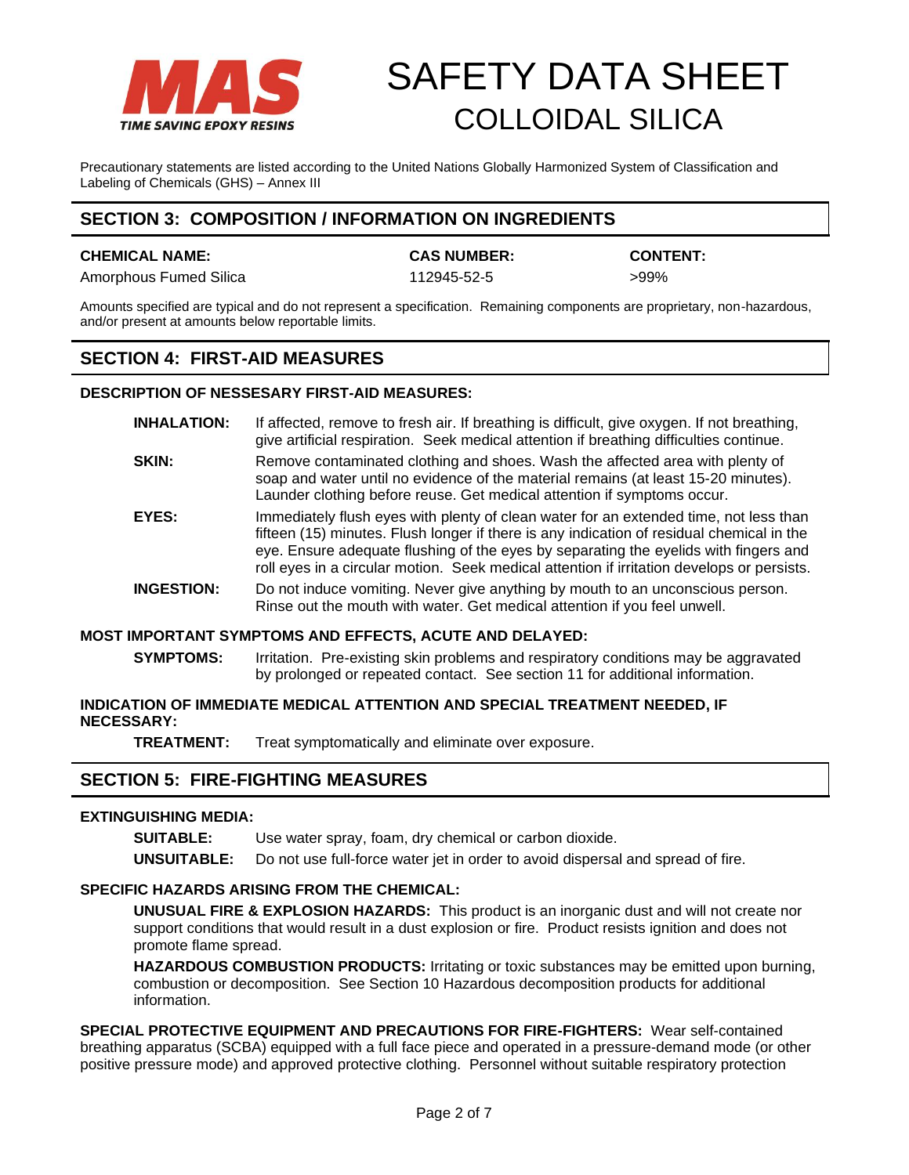

Precautionary statements are listed according to the United Nations Globally Harmonized System of Classification and Labeling of Chemicals (GHS) – Annex III

## **SECTION 3: COMPOSITION / INFORMATION ON INGREDIENTS**

#### **CHEMICAL NAME: CAS NUMBER: CONTENT:**

Amorphous Fumed Silica 112945-52-5 by the settlement of the settlement of the settlement of the settlement of the settlement of the settlement of the settlement of the settlement of the settlement of the settlement of the

Amounts specified are typical and do not represent a specification. Remaining components are proprietary, non-hazardous, and/or present at amounts below reportable limits.

## **SECTION 4: FIRST-AID MEASURES**

### **DESCRIPTION OF NESSESARY FIRST-AID MEASURES:**

- **INHALATION:** If affected, remove to fresh air. If breathing is difficult, give oxygen. If not breathing, give artificial respiration. Seek medical attention if breathing difficulties continue.
- **SKIN:** Remove contaminated clothing and shoes. Wash the affected area with plenty of soap and water until no evidence of the material remains (at least 15-20 minutes). Launder clothing before reuse. Get medical attention if symptoms occur.
- **EYES:** Immediately flush eyes with plenty of clean water for an extended time, not less than fifteen (15) minutes. Flush longer if there is any indication of residual chemical in the eye. Ensure adequate flushing of the eyes by separating the eyelids with fingers and roll eyes in a circular motion. Seek medical attention if irritation develops or persists.
- **INGESTION:** Do not induce vomiting. Never give anything by mouth to an unconscious person. Rinse out the mouth with water. Get medical attention if you feel unwell.

### **MOST IMPORTANT SYMPTOMS AND EFFECTS, ACUTE AND DELAYED:**

**SYMPTOMS:** Irritation. Pre-existing skin problems and respiratory conditions may be aggravated by prolonged or repeated contact. See section 11 for additional information.

### **INDICATION OF IMMEDIATE MEDICAL ATTENTION AND SPECIAL TREATMENT NEEDED, IF NECESSARY:**

**TREATMENT:** Treat symptomatically and eliminate over exposure.

## **SECTION 5: FIRE-FIGHTING MEASURES**

### **EXTINGUISHING MEDIA:**

**SUITABLE:** Use water spray, foam, dry chemical or carbon dioxide.

**UNSUITABLE:** Do not use full-force water jet in order to avoid dispersal and spread of fire.

### **SPECIFIC HAZARDS ARISING FROM THE CHEMICAL:**

**UNUSUAL FIRE & EXPLOSION HAZARDS:** This product is an inorganic dust and will not create nor support conditions that would result in a dust explosion or fire. Product resists ignition and does not promote flame spread.

**HAZARDOUS COMBUSTION PRODUCTS:** Irritating or toxic substances may be emitted upon burning, combustion or decomposition. See Section 10 Hazardous decomposition products for additional information.

**SPECIAL PROTECTIVE EQUIPMENT AND PRECAUTIONS FOR FIRE-FIGHTERS:** Wear self-contained breathing apparatus (SCBA) equipped with a full face piece and operated in a pressure-demand mode (or other positive pressure mode) and approved protective clothing. Personnel without suitable respiratory protection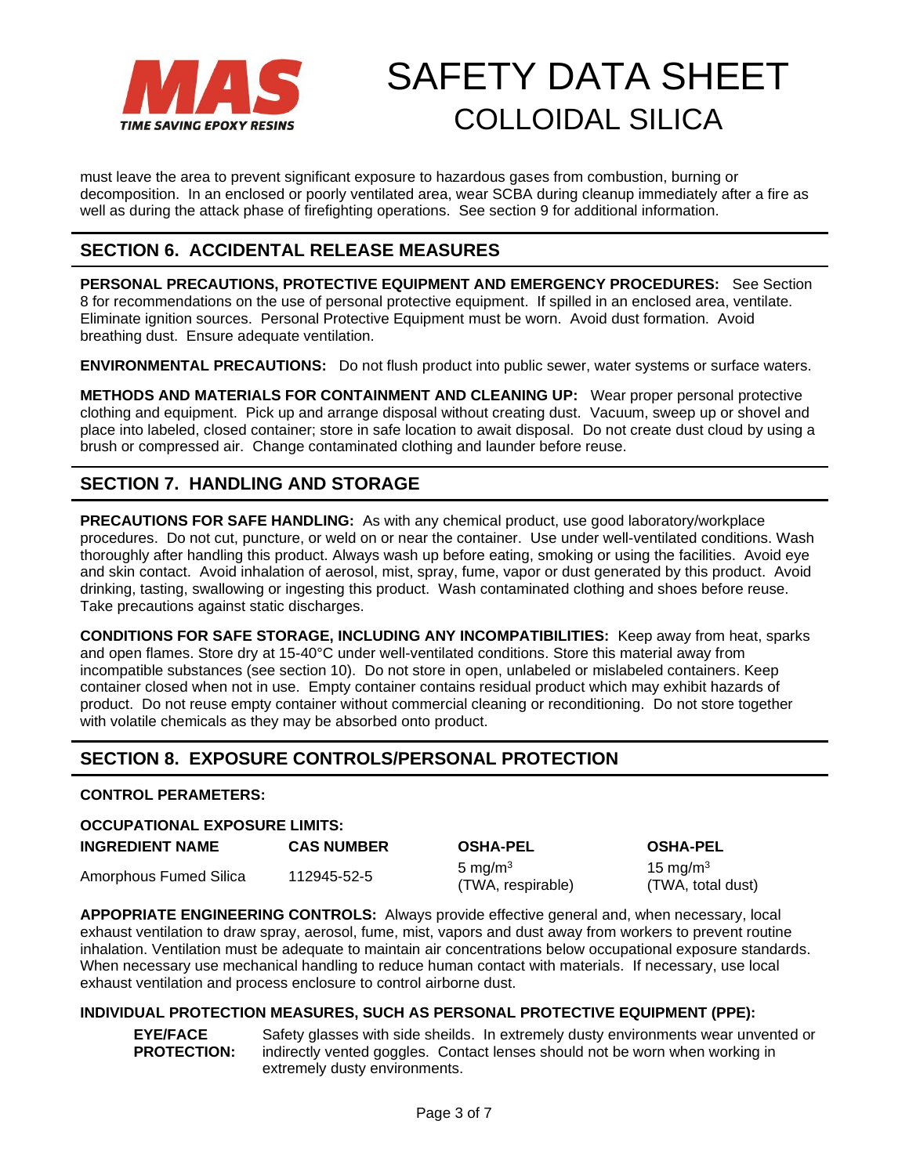

must leave the area to prevent significant exposure to hazardous gases from combustion, burning or decomposition. In an enclosed or poorly ventilated area, wear SCBA during cleanup immediately after a fire as well as during the attack phase of firefighting operations. See section 9 for additional information.

# **SECTION 6. ACCIDENTAL RELEASE MEASURES**

**PERSONAL PRECAUTIONS, PROTECTIVE EQUIPMENT AND EMERGENCY PROCEDURES:** See Section 8 for recommendations on the use of personal protective equipment. If spilled in an enclosed area, ventilate. Eliminate ignition sources. Personal Protective Equipment must be worn. Avoid dust formation. Avoid breathing dust. Ensure adequate ventilation.

**ENVIRONMENTAL PRECAUTIONS:** Do not flush product into public sewer, water systems or surface waters.

**METHODS AND MATERIALS FOR CONTAINMENT AND CLEANING UP:** Wear proper personal protective clothing and equipment. Pick up and arrange disposal without creating dust. Vacuum, sweep up or shovel and place into labeled, closed container; store in safe location to await disposal. Do not create dust cloud by using a brush or compressed air. Change contaminated clothing and launder before reuse.

# **SECTION 7. HANDLING AND STORAGE**

**PRECAUTIONS FOR SAFE HANDLING:** As with any chemical product, use good laboratory/workplace procedures. Do not cut, puncture, or weld on or near the container. Use under well-ventilated conditions. Wash thoroughly after handling this product. Always wash up before eating, smoking or using the facilities. Avoid eye and skin contact. Avoid inhalation of aerosol, mist, spray, fume, vapor or dust generated by this product. Avoid drinking, tasting, swallowing or ingesting this product. Wash contaminated clothing and shoes before reuse. Take precautions against static discharges.

**CONDITIONS FOR SAFE STORAGE, INCLUDING ANY INCOMPATIBILITIES:** Keep away from heat, sparks and open flames. Store dry at 15-40°C under well-ventilated conditions. Store this material away from incompatible substances (see section 10). Do not store in open, unlabeled or mislabeled containers. Keep container closed when not in use. Empty container contains residual product which may exhibit hazards of product. Do not reuse empty container without commercial cleaning or reconditioning. Do not store together with volatile chemicals as they may be absorbed onto product.

# **SECTION 8. EXPOSURE CONTROLS/PERSONAL PROTECTION**

### **CONTROL PERAMETERS:**

### **OCCUPATIONAL EXPOSURE LIMITS:**

| <b>INGREDIENT NAME</b> | <b>CAS NUMBER</b> | <b>OSHA-PEL</b>                 | <b>OSHA-PEL</b>             |
|------------------------|-------------------|---------------------------------|-----------------------------|
| Amorphous Fumed Silica | 112945-52-5       | 5 mg/m $3$<br>(TWA, respirable) | 15 mg/m $3$<br>(TWA, total) |

**APPOPRIATE ENGINEERING CONTROLS:** Always provide effective general and, when necessary, local exhaust ventilation to draw spray, aerosol, fume, mist, vapors and dust away from workers to prevent routine inhalation. Ventilation must be adequate to maintain air concentrations below occupational exposure standards. When necessary use mechanical handling to reduce human contact with materials. If necessary, use local exhaust ventilation and process enclosure to control airborne dust.

### **INDIVIDUAL PROTECTION MEASURES, SUCH AS PERSONAL PROTECTIVE EQUIPMENT (PPE):**

**EYE/FACE PROTECTION:**

Safety glasses with side sheilds. In extremely dusty environments wear unvented or indirectly vented goggles. Contact lenses should not be worn when working in extremely dusty environments.

 $15 \text{ mg/m}^3$ (TWA, total dust)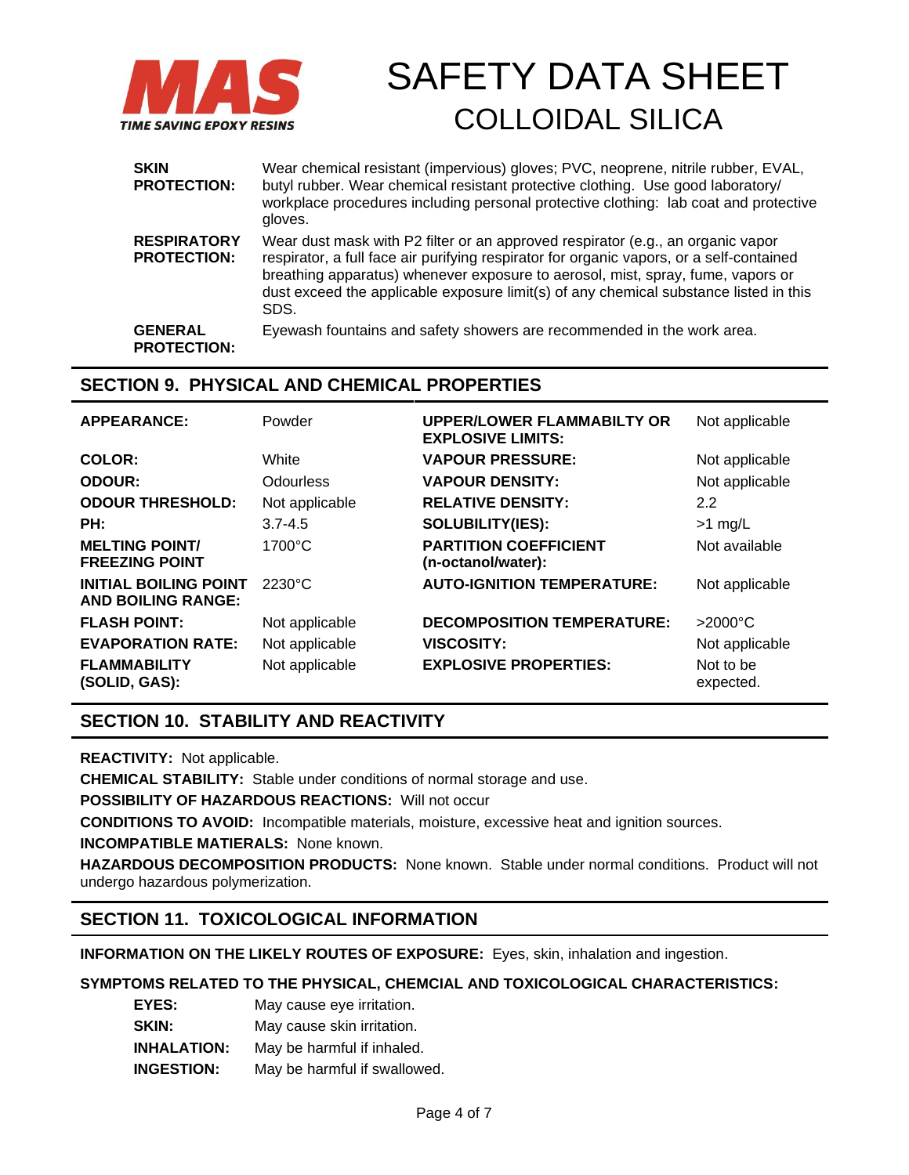

| <b>SKIN</b><br><b>PROTECTION:</b>        | Wear chemical resistant (impervious) gloves; PVC, neoprene, nitrile rubber, EVAL,<br>butyl rubber. Wear chemical resistant protective clothing. Use good laboratory/<br>workplace procedures including personal protective clothing: lab coat and protective<br>gloves.                                                                                         |
|------------------------------------------|-----------------------------------------------------------------------------------------------------------------------------------------------------------------------------------------------------------------------------------------------------------------------------------------------------------------------------------------------------------------|
| <b>RESPIRATORY</b><br><b>PROTECTION:</b> | Wear dust mask with P2 filter or an approved respirator (e.g., an organic vapor<br>respirator, a full face air purifying respirator for organic vapors, or a self-contained<br>breathing apparatus) whenever exposure to aerosol, mist, spray, fume, vapors or<br>dust exceed the applicable exposure limit(s) of any chemical substance listed in this<br>SDS. |
| <b>GENERAL</b><br><b>PROTECTION:</b>     | Eyewash fountains and safety showers are recommended in the work area.                                                                                                                                                                                                                                                                                          |

## **SECTION 9. PHYSICAL AND CHEMICAL PROPERTIES**

| <b>APPEARANCE:</b>                                        | Powder           | <b>UPPER/LOWER FLAMMABILTY OR</b><br><b>EXPLOSIVE LIMITS:</b> | Not applicable         |
|-----------------------------------------------------------|------------------|---------------------------------------------------------------|------------------------|
| COLOR:                                                    | White            | <b>VAPOUR PRESSURE:</b>                                       | Not applicable         |
| <b>ODOUR:</b>                                             | Odourless        | <b>VAPOUR DENSITY:</b>                                        | Not applicable         |
| <b>ODOUR THRESHOLD:</b>                                   | Not applicable   | <b>RELATIVE DENSITY:</b>                                      | 2.2                    |
| PH:                                                       | $3.7 - 4.5$      | <b>SOLUBILITY(IES):</b>                                       | $>1$ mg/L              |
| <b>MELTING POINT/</b><br><b>FREEZING POINT</b>            | $1700^{\circ}$ C | <b>PARTITION COEFFICIENT</b><br>(n-octanol/water):            | Not available          |
| <b>INITIAL BOILING POINT</b><br><b>AND BOILING RANGE:</b> | $2230^{\circ}$ C | <b>AUTO-IGNITION TEMPERATURE:</b>                             | Not applicable         |
| <b>FLASH POINT:</b>                                       | Not applicable   | <b>DECOMPOSITION TEMPERATURE:</b>                             | $>2000^{\circ}$ C      |
| <b>EVAPORATION RATE:</b>                                  | Not applicable   | <b>VISCOSITY:</b>                                             | Not applicable         |
| <b>FLAMMABILITY</b><br>(SOLID, GAS):                      | Not applicable   | <b>EXPLOSIVE PROPERTIES:</b>                                  | Not to be<br>expected. |

## **SECTION 10. STABILITY AND REACTIVITY**

**REACTIVITY:** Not applicable.

**CHEMICAL STABILITY:** Stable under conditions of normal storage and use.

**POSSIBILITY OF HAZARDOUS REACTIONS:** Will not occur

**CONDITIONS TO AVOID:** Incompatible materials, moisture, excessive heat and ignition sources.

**INCOMPATIBLE MATIERALS:** None known.

**HAZARDOUS DECOMPOSITION PRODUCTS:** None known. Stable under normal conditions. Product will not undergo hazardous polymerization.

## **SECTION 11. TOXICOLOGICAL INFORMATION**

**INFORMATION ON THE LIKELY ROUTES OF EXPOSURE:** Eyes, skin, inhalation and ingestion.

### **SYMPTOMS RELATED TO THE PHYSICAL, CHEMCIAL AND TOXICOLOGICAL CHARACTERISTICS:**

| <b>EYES:</b>       | May cause eye irritation.    |
|--------------------|------------------------------|
| SKIN:              | May cause skin irritation.   |
| <b>INHALATION:</b> | May be harmful if inhaled.   |
| <b>INGESTION:</b>  | May be harmful if swallowed. |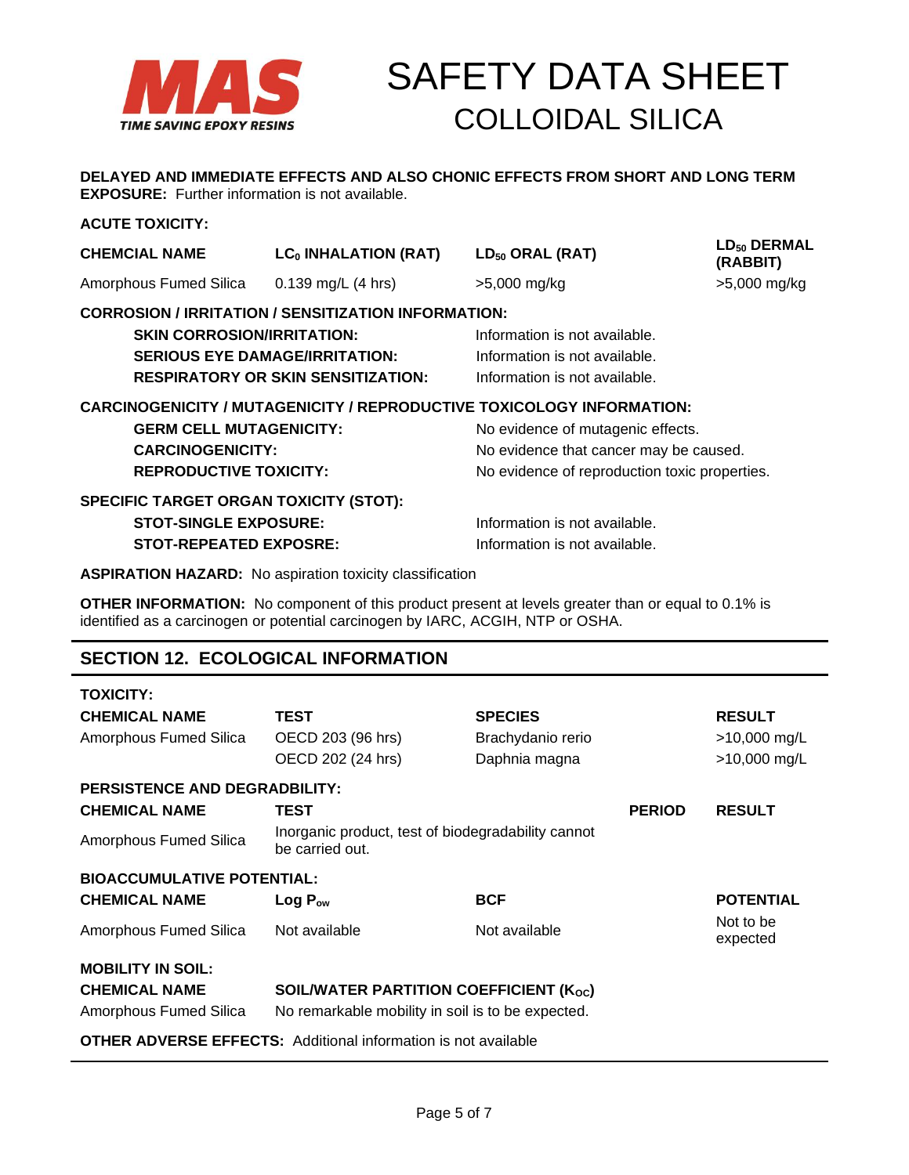

**DELAYED AND IMMEDIATE EFFECTS AND ALSO CHONIC EFFECTS FROM SHORT AND LONG TERM EXPOSURE:** Further information is not available.

### **ACUTE TOXICITY:**

| AUUIE IUAIUIII.                               |                                                            |                                                                              |                              |
|-----------------------------------------------|------------------------------------------------------------|------------------------------------------------------------------------------|------------------------------|
| <b>CHEMCIAL NAME</b>                          | LC <sub>0</sub> INHALATION (RAT)                           | $LD_{50}$ ORAL (RAT)                                                         | $LD_{50}$ DERMAL<br>(RABBIT) |
| Amorphous Fumed Silica                        | $0.139$ mg/L (4 hrs)                                       | $>5,000$ mg/kg                                                               | >5,000 mg/kg                 |
|                                               | <b>CORROSION / IRRITATION / SENSITIZATION INFORMATION:</b> |                                                                              |                              |
| <b>SKIN CORROSION/IRRITATION:</b>             |                                                            | Information is not available.                                                |                              |
| <b>SERIOUS EYE DAMAGE/IRRITATION:</b>         |                                                            | Information is not available.                                                |                              |
|                                               | <b>RESPIRATORY OR SKIN SENSITIZATION:</b>                  | Information is not available.                                                |                              |
|                                               |                                                            | <b>CARCINOGENICITY / MUTAGENICITY / REPRODUCTIVE TOXICOLOGY INFORMATION:</b> |                              |
| <b>GERM CELL MUTAGENICITY:</b>                |                                                            | No evidence of mutagenic effects.                                            |                              |
| <b>CARCINOGENICITY:</b>                       |                                                            | No evidence that cancer may be caused.                                       |                              |
| <b>REPRODUCTIVE TOXICITY:</b>                 |                                                            | No evidence of reproduction toxic properties.                                |                              |
| <b>SPECIFIC TARGET ORGAN TOXICITY (STOT):</b> |                                                            |                                                                              |                              |
| <b>STOT-SINGLE EXPOSURE:</b>                  |                                                            | Information is not available.                                                |                              |
| <b>STOT-REPEATED EXPOSRE:</b>                 |                                                            | Information is not available.                                                |                              |
|                                               |                                                            |                                                                              |                              |

**ASPIRATION HAZARD:** No aspiration toxicity classification

**OTHER INFORMATION:** No component of this product present at levels greater than or equal to 0.1% is identified as a carcinogen or potential carcinogen by IARC, ACGIH, NTP or OSHA.

# **SECTION 12. ECOLOGICAL INFORMATION**

| <b>TOXICITY:</b>                                                      |                                                                       |                                                      |               |                                               |
|-----------------------------------------------------------------------|-----------------------------------------------------------------------|------------------------------------------------------|---------------|-----------------------------------------------|
| <b>CHEMICAL NAME</b><br>Amorphous Fumed Silica                        | <b>TEST</b><br>OECD 203 (96 hrs)<br>OECD 202 (24 hrs)                 | <b>SPECIES</b><br>Brachydanio rerio<br>Daphnia magna |               | <b>RESULT</b><br>>10,000 mg/L<br>>10,000 mg/L |
| <b>PERSISTENCE AND DEGRADBILITY:</b>                                  |                                                                       |                                                      |               |                                               |
| <b>CHEMICAL NAME</b>                                                  | <b>TEST</b>                                                           |                                                      | <b>PERIOD</b> | <b>RESULT</b>                                 |
| Amorphous Fumed Silica                                                | Inorganic product, test of biodegradability cannot<br>be carried out. |                                                      |               |                                               |
| <b>BIOACCUMULATIVE POTENTIAL:</b>                                     |                                                                       |                                                      |               |                                               |
| <b>CHEMICAL NAME</b>                                                  | $Log P_{ow}$                                                          | <b>BCF</b>                                           |               | <b>POTENTIAL</b>                              |
| Amorphous Fumed Silica                                                | Not available                                                         | Not available                                        |               | Not to be<br>expected                         |
| <b>MOBILITY IN SOIL:</b>                                              |                                                                       |                                                      |               |                                               |
| <b>CHEMICAL NAME</b>                                                  | SOIL/WATER PARTITION COEFFICIENT (Koc)                                |                                                      |               |                                               |
| Amorphous Fumed Silica                                                | No remarkable mobility in soil is to be expected.                     |                                                      |               |                                               |
| <b>OTHER ADVERSE EFFECTS:</b> Additional information is not available |                                                                       |                                                      |               |                                               |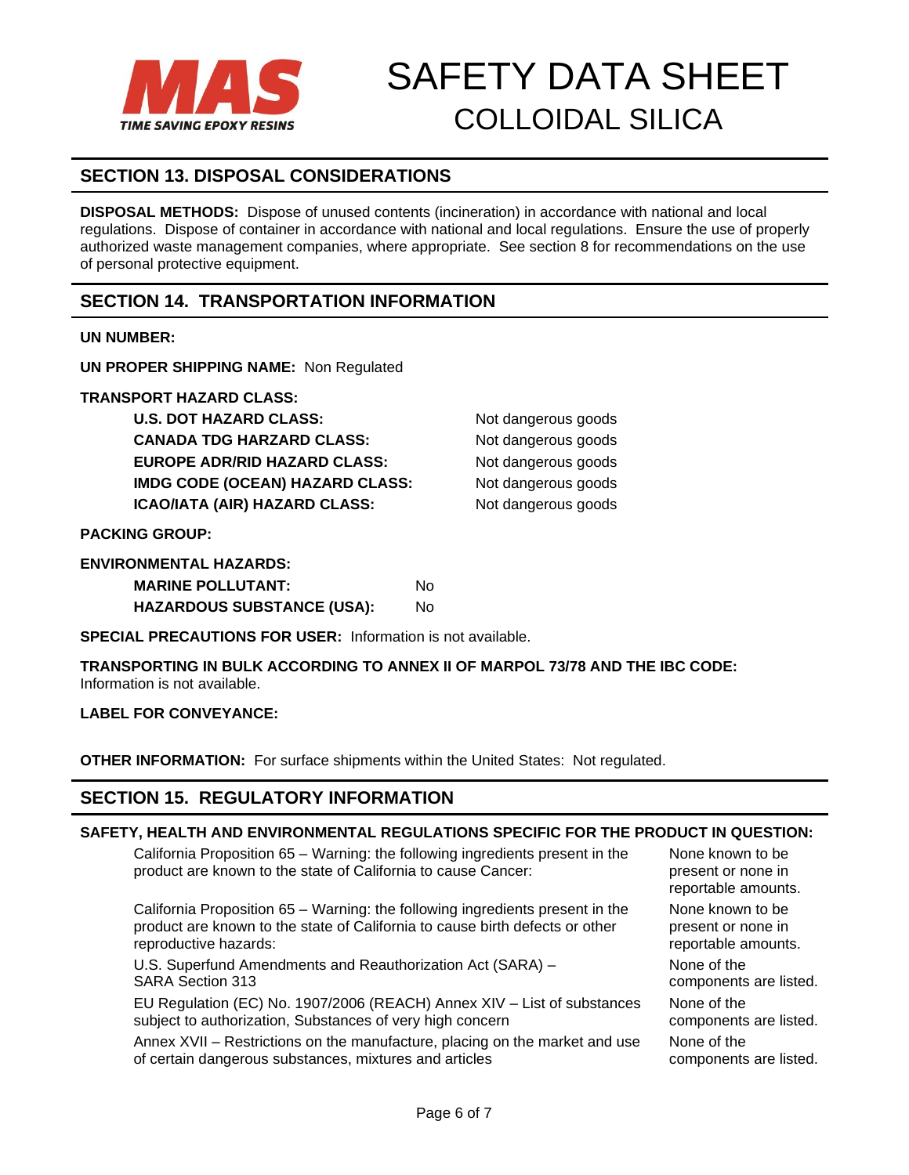

# **SECTION 13. DISPOSAL CONSIDERATIONS**

**DISPOSAL METHODS:** Dispose of unused contents (incineration) in accordance with national and local regulations. Dispose of container in accordance with national and local regulations. Ensure the use of properly authorized waste management companies, where appropriate. See section 8 for recommendations on the use of personal protective equipment.

## **SECTION 14. TRANSPORTATION INFORMATION**

### **UN NUMBER:**

**UN PROPER SHIPPING NAME:** Non Regulated

**TRANSPORT HAZARD CLASS:**

**U.S. DOT HAZARD CLASS:** Not dangerous goods **CANADA TDG HARZARD CLASS:** Not dangerous goods **EUROPE ADR/RID HAZARD CLASS:** Not dangerous goods **IMDG CODE (OCEAN) HAZARD CLASS:** Not dangerous goods **ICAO/IATA (AIR) HAZARD CLASS:** Not dangerous goods

**PACKING GROUP:**

| <b>ENVIRONMENTAL HAZARDS:</b>     |    |
|-----------------------------------|----|
| <b>MARINE POLLUTANT:</b>          | N٥ |
| <b>HAZARDOUS SUBSTANCE (USA):</b> | No |

**SPECIAL PRECAUTIONS FOR USER:** Information is not available.

**TRANSPORTING IN BULK ACCORDING TO ANNEX II OF MARPOL 73/78 AND THE IBC CODE:** Information is not available.

### **LABEL FOR CONVEYANCE:**

**OTHER INFORMATION:** For surface shipments within the United States: Not regulated.

## **SECTION 15. REGULATORY INFORMATION**

### **SAFETY, HEALTH AND ENVIRONMENTAL REGULATIONS SPECIFIC FOR THE PRODUCT IN QUESTION:**

California Proposition 65 – Warning: the following ingredients present in the product are known to the state of California to cause Cancer:

California Proposition 65 – Warning: the following ingredients present in the product are known to the state of California to cause birth defects or other reproductive hazards:

U.S. Superfund Amendments and Reauthorization Act (SARA) – SARA Section 313

EU Regulation (EC) No. 1907/2006 (REACH) Annex XIV – List of substances subject to authorization, Substances of very high concern

Annex XVII – Restrictions on the manufacture, placing on the market and use of certain dangerous substances, mixtures and articles

None known to be present or none in reportable amounts. None known to be present or none in reportable amounts. None of the components are listed. None of the components are listed. None of the

components are listed.